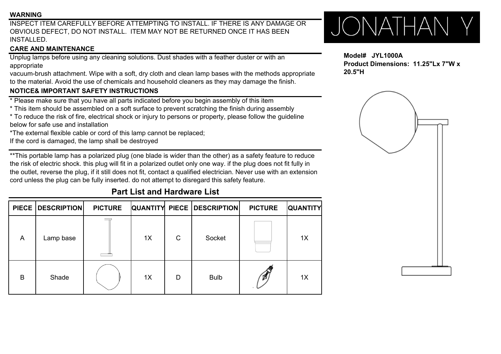### **WARNING**

INSPECT ITEM CAREFULLY BEFORE ATTEMPTING TO INSTALL. IF THERE IS ANY DAMAGE OROBVIOUS DEFECT, DO NOT INSTALL. ITEM MAY NOT BE RETURNED ONCE IT HAS BEEN INSTALLED.

## **CARE AND MAINTENANCE**

Unplug lamps before using any cleaning solutions. Dust shades with a feather duster or with an appropriate

vacuum-brush attachment. Wipe with a soft, dry cloth and clean lamp bases with the methods appropriate to the material. Avoid the use of chemicals and household cleaners as they may damage the finish.

## **NOTICE& IMPORTANT SAFETY INSTRUCTIONS NOTICE& IMPORTANT SAFETY**

- $*$  Please make sure that you have all parts indicated before you begin assembly of this item
- \* This item should be assembled on a soft surface to prevent scratching the finish during assembly
- \* To reduce the risk of fire, electrical shock or injury to persons or property, please follow the guideline below for safe use and installation
- \*The external flexible cable or cord of this lamp cannot be replaced;
- If the cord is damaged, the lamp shall be destroyed

\*\*This portable lamp has a polarized plug (one blade is wider than the other) as a safety feature to reduce the risk of electric shock. this plug will fit in a polarized outlet only one way. if the plug does not fit fully in the outlet, reverse the plug, if it still does not fit, contact a qualified electrician. Never use with an extension cord unless the plug can be fully inserted. do not attempt to disregard this safety feature.

# **Part List and Hardware List**

|   | PIECE   DESCRIPTION | <b>PICTURE</b> |    |   | <b>QUANTITY PIECE   DESCRIPTION </b> | <b>PICTURE</b> | <b>QUANTITY</b> |
|---|---------------------|----------------|----|---|--------------------------------------|----------------|-----------------|
| A | Lamp base           |                | 1X | C | Socket                               |                | 1X              |
| B | Shade               |                | 1X | D | <b>Bulb</b>                          |                | 1X              |

# JONATHAN Y

### **Model# JYL1000AProduct Dimensions: 11.25"Lx 7"W x20.5"H**